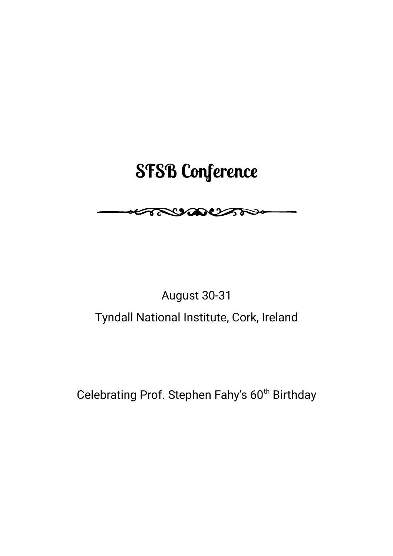# **SFSB Conference**

$$
\longrightarrow\hspace{-1.5em}\longrightarrow\hspace{-1.5em}\longrightarrow\hspace{-1.5em}\bullet\hspace{-1.5em}\longrightarrow\hspace{-1.5em}\bullet\hspace{-1.5em}\longrightarrow\hspace{-1.5em}\bullet\hspace{-1.5em}\longrightarrow\hspace{-1.5em}\bullet\hspace{-1.5em}\longrightarrow\hspace{-1.5em}\bullet\hspace{-1.5em}\longrightarrow\hspace{-1.5em}\bullet\hspace{-1.5em}\longrightarrow\hspace{-1.5em}\bullet\hspace{-1.5em}\longrightarrow\hspace{-1.5em}\bullet\hspace{-1.5em}\longrightarrow\hspace{-1.5em}\bullet\hspace{-1.5em}\longrightarrow\hspace{-1.5em}\bullet\hspace{-1.5em}\longrightarrow\hspace{-1.5em}\bullet\hspace{-1.5em}\longrightarrow\hspace{-1.5em}\bullet\hspace{-1.5em}\longrightarrow\hspace{-1.5em}\bullet\hspace{-1.5em}\longrightarrow\hspace{-1.5em}\bullet\hspace{-1.5em}\longrightarrow\hspace{-1.5em}\bullet\hspace{-1.5em}\longrightarrow\hspace{-1.5em}\bullet\hspace{-1.5em}\longrightarrow\hspace{-1.5em}\bullet\hspace{-1.5em}\longrightarrow\hspace{-1.5em}\bullet\hspace{-1.5em}\longrightarrow\hspace{-1.5em}\bullet\hspace{-1.5em}\longrightarrow\hspace{-1.5em}\bullet\hspace{-1.5em}\longrightarrow\hspace{-1.5em}\bullet\hspace{-1.5em}\longrightarrow\hspace{-1.5em}\bullet\hspace{-1.5em}\longrightarrow\hspace{-1.5em}\bullet\hspace{-1.5em}\longrightarrow\hspace{-1.5em}\bullet\hspace{-1.5em}\longrightarrow\hspace{-1.5em}\bullet\hspace{-1.5em}\longrightarrow\hspace{-1.5em}\bullet\hspace{-1.5em}\longrightarrow\hspace{-1.5em}\bullet\hspace{-1.5em}\longrightarrow\hspace{-1.5em}\bullet\hspace{-1.5em}\longrightarrow\hspace{-1.5em}\bullet\hspace{-1.5em}\longrightarrow\hspace{-1.5em}\bullet\hspace{-1.5em}\longrightarrow\hspace{-1.5em}\bullet\hspace{-1.5em}\longrightarrow\hspace{-1.5em}\bullet\hspace{-1.5em}\longrightarrow\hspace{-1.5em}\bullet\hspace{-1.5em}\longrightarrow\hspace{-1.5em}\bullet\hspace{-1.5em}\longrightarrow\hspace{-1.5em}\bullet\hspace{-1.5em}\longrightarrow\hspace{-1.5em}\bullet\hspace{-1.5em}\longrightarrow\hspace{-1.5em}\bullet\hspace{-1.5em
$$

## August 30-31 Tyndall National Institute, Cork, Ireland

Celebrating Prof. Stephen Fahy's 60<sup>th</sup> Birthday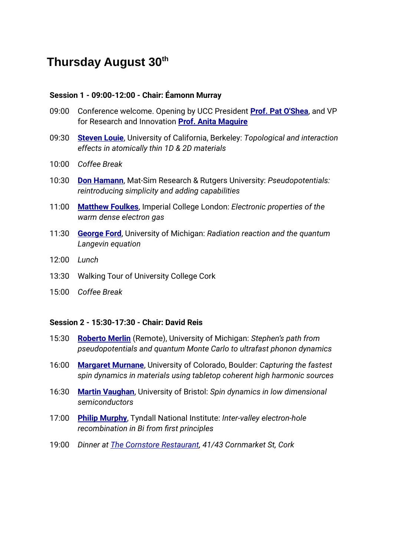### **Thursday August 30th**

#### **Session 1 - 09:00-12:00 - Chair: Éamonn Murray**

- 09:00 Conference welcome. Opening by UCC President **[Prof. Pat O'Shea](https://www.ucc.ie/en/support/president/presidentsbiography/)**, and VP for Research and Innovation **[Prof. Anita Maguire](http://research.ucc.ie/profiles/V001/amaguire)**
- 09:30 **[Steven Louie](http://physics.berkeley.edu/people/faculty/Steven-Louie)**, University of California, Berkeley: *Topological and interaction effects in atomically thin 1D & 2D materials*
- 10:00 *Coffee Break*
- 10:30 **[Don Hamann](http://www.mat-simresearch.com/)**, Mat-Sim Research & Rutgers University: *Pseudopotentials: reintroducing simplicity and adding capabilities*
- 11:00 **[Matthew Foulkes](https://www.imperial.ac.uk/people/wmc.foulkes)**, Imperial College London: *Electronic properties of the warm dense electron gas*
- 11:30 **[George Ford](https://lsa.umich.edu/physics/people/emeritus/gwf.html)**, University of Michigan: *Radiation reaction and the quantum Langevin equation*
- 12:00 *Lunch*
- 13:30 Walking Tour of University College Cork
- 15:00 *Coffee Break*

#### **Session 2 - 15:30-17:30 - Chair: David Reis**

- 15:30 **[Roberto Merlin](https://lsa.umich.edu/physics/people/faculty/merlin.html)** (Remote), University of Michigan: *Stephen's path from pseudopotentials and quantum Monte Carlo to ultrafast phonon dynamics*
- 16:00 **[Margaret Murnane](https://jila.colorado.edu/kmlabs/bio/murnane)**, University of Colorado, Boulder: *Capturing the fastest spin dynamics in materials using tabletop coherent high harmonic sources*
- 16:30 **[Martin Vaughan](http://www.bristol.ac.uk/engineering/people/martin-vaughan/index.html)**, University of Bristol: *Spin dynamics in low dimensional semiconductors*
- 17:00 **[Philip Murphy](http://research.ucc.ie/profiles/E029/fmurphyarmando)**, Tyndall National Institute: *Inter-valley electron-hole recombination in Bi from first principles*
- 19:00 *Dinner at [The Cornstore Restaurant,](http://cornstore.ie/cork/) 41/43 Cornmarket St, Cork*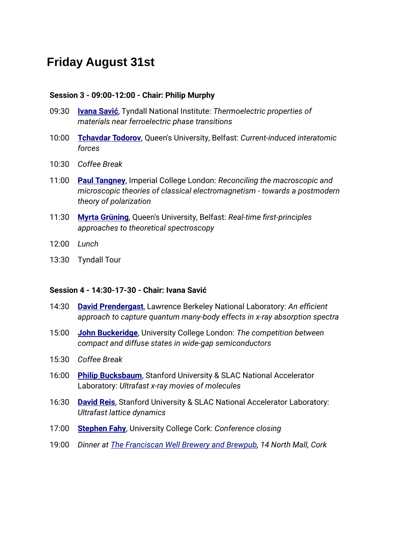## **Friday August 31st**

#### **Session 3 - 09:00-12:00 - Chair: Philip Murphy**

- 09:30 **[Ivana Savić](https://www.ivanasavic.science/)**, Tyndall National Institute: *Thermoelectric properties of materials near ferroelectric phase transitions*
- 10:00 **[Tchavdar Todorov](http://titus.phy.qub.ac.uk/members/tchavdar/)**, Queen's University, Belfast: *Current-induced interatomic forces*
- 10:30 *Coffee Break*
- 11:00 **[Paul Tangney](https://www.imperial.ac.uk/people/p.tangney)**, Imperial College London: *Reconciling the macroscopic and microscopic theories of classical electromagnetism - towards a postmodern theory of polarization*
- 11:30 **[Myrta Grüning](http://titus.phy.qub.ac.uk/members/myrta/)**, Queen's University, Belfast: *Real-time first-principles approaches to theoretical spectroscopy*
- 12:00 *Lunch*
- 13:30 Tyndall Tour

#### **Session 4 - 14:30-17-30 - Chair: Ivana Savić**

- 14:30 **[David Prendergast](http://nanotheory.lbl.gov/people/prendergast.html)**, Lawrence Berkeley National Laboratory: *An efficient approach to capture quantum many-body effects in x-ray absorption spectra*
- 15:00 **[John Buckeridge](http://www.ucl.ac.uk/klmc/People/Buckeridge.html)**, University College London: *The competition between compact and diffuse states in wide-gap semiconductors*
- 15:30 *Coffee Break*
- 16:00 **[Philip Bucksbaum](https://web.stanford.edu/dept/app-physics/cgi-bin/person/bucksbaum-philip-h/)**, Stanford University & SLAC National Accelerator Laboratory: *Ultrafast x-ray movies of molecules*
- 16:30 **[David Reis](https://web.stanford.edu/dept/app-physics/cgi-bin/person/reis-david/)**, Stanford University & SLAC National Accelerator Laboratory: *Ultrafast lattice dynamics*
- 17:00 **[Stephen Fahy](http://research.ucc.ie/profiles/D006/sfahy)**, University College Cork: *Conference closing*
- 19:00 *Dinner at [The Franciscan Well Brewery and Brewpub,](http://www.franciscanwellbrewery.com/) 14 North Mall, Cork*